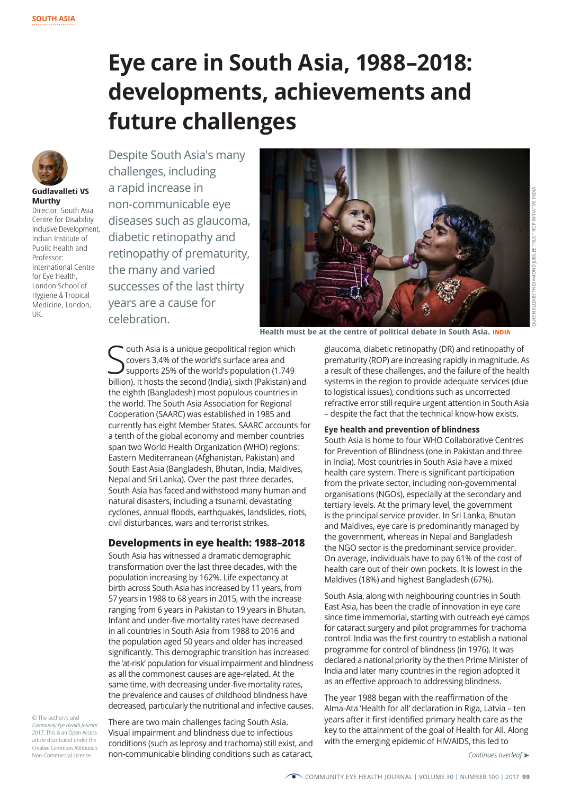# **Eye care in South Asia, 1988–2018: developments, achievements and future challenges**



## **Gudlavalleti VS Murthy**

Director: South Asia Centre for Disability Inclusive Development, Indian Institute of Public Health and Professor: International Centre for Eye Health, London School of Hygiene & Tropical Medicine, London, UK.

Despite South Asia's many challenges, including a rapid increase in non-communicable eye diseases such as glaucoma, diabetic retinopathy and retinopathy of prematurity, the many and varied successes of the last thirty years are a cause for celebration.



**Health must be at the centre of political debate in South Asia. INDIA**

**S** covers 3.4% of the world's surface area and<br>Supports 25% of the world's population (1.749<br>billion). It hosts the second (India), sixth (Pakistan) and outh Asia is a unique geopolitical region which covers 3.4% of the world's surface area and supports 25% of the world's population (1.749) the eighth (Bangladesh) most populous countries in the world. The South Asia Association for Regional Cooperation (SAARC) was established in 1985 and currently has eight Member States. SAARC accounts for a tenth of the global economy and member countries span two World Health Organization (WHO) regions: Eastern Mediterranean (Afghanistan, Pakistan) and South East Asia (Bangladesh, Bhutan, India, Maldives, Nepal and Sri Lanka). Over the past three decades, South Asia has faced and withstood many human and natural disasters, including a tsunami, devastating cyclones, annual floods, earthquakes, landslides, riots, civil disturbances, wars and terrorist strikes.

## **Developments in eye health: 1988–2018**

South Asia has witnessed a dramatic demographic transformation over the last three decades, with the population increasing by 162%. Life expectancy at birth across South Asia has increased by 11 years, from 57 years in 1988 to 68 years in 2015, with the increase ranging from 6 years in Pakistan to 19 years in Bhutan. Infant and under-five mortality rates have decreased in all countries in South Asia from 1988 to 2016 and the population aged 50 years and older has increased significantly. This demographic transition has increased the 'at-risk' population for visual impairment and blindness as all the commonest causes are age-related. At the same time, with decreasing under-five mortality rates, the prevalence and causes of childhood blindness have decreased, particularly the nutritional and infective causes.

© The author/s and *Community Eye Health Journal*  2017. This is an Open Access article distributed under the Creative Commons Attribution Non-Commercial License.

There are two main challenges facing South Asia. Visual impairment and blindness due to infectious conditions (such as leprosy and trachoma) still exist, and non-communicable blinding conditions such as cataract,

glaucoma, diabetic retinopathy (DR) and retinopathy of prematurity (ROP) are increasing rapidly in magnitude. As a result of these challenges, and the failure of the health systems in the region to provide adequate services (due to logistical issues), conditions such as uncorrected refractive error still require urgent attention in South Asia – despite the fact that the technical know-how exists.

## **Eye health and prevention of blindness**

South Asia is home to four WHO Collaborative Centres for Prevention of Blindness (one in Pakistan and three in India). Most countries in South Asia have a mixed health care system. There is significant participation from the private sector, including non-governmental organisations (NGOs), especially at the secondary and tertiary levels. At the primary level, the government is the principal service provider. In Sri Lanka, Bhutan and Maldives, eye care is predominantly managed by the government, whereas in Nepal and Bangladesh the NGO sector is the predominant service provider. On average, individuals have to pay 61% of the cost of health care out of their own pockets. It is lowest in the Maldives (18%) and highest Bangladesh (67%).

South Asia, along with neighbouring countries in South East Asia, has been the cradle of innovation in eye care since time immemorial, starting with outreach eye camps for cataract surgery and pilot programmes for trachoma control. India was the first country to establish a national programme for control of blindness (in 1976). It was declared a national priority by the then Prime Minister of India and later many countries in the region adopted it as an effective approach to addressing blindness.

The year 1988 began with the reaffirmation of the Alma-Ata 'Health for all' declaration in Riga, Latvia – ten years after it first identified primary health care as the key to the attainment of the goal of Health for All. Along with the emerging epidemic of HIV/AIDS, this led to

*Continues overleaf* ➤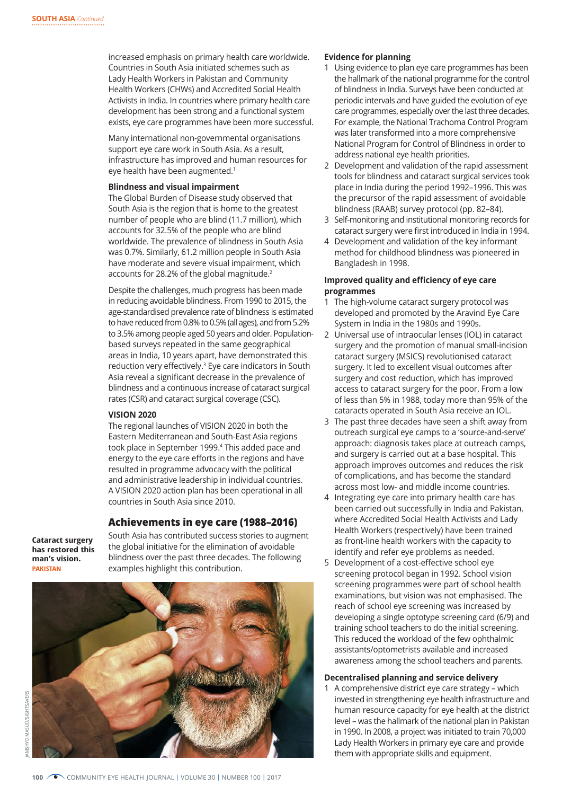increased emphasis on primary health care worldwide. Countries in South Asia initiated schemes such as Lady Health Workers in Pakistan and Community Health Workers (CHWs) and Accredited Social Health Activists in India. In countries where primary health care development has been strong and a functional system exists, eye care programmes have been more successful.

Many international non-governmental organisations support eye care work in South Asia. As a result, infrastructure has improved and human resources for eye health have been augmented.<sup>1</sup>

#### **Blindness and visual impairment**

The Global Burden of Disease study observed that South Asia is the region that is home to the greatest number of people who are blind (11.7 million), which accounts for 32.5% of the people who are blind worldwide. The prevalence of blindness in South Asia was 0.7%. Similarly, 61.2 million people in South Asia have moderate and severe visual impairment, which accounts for 28.2% of the global magnitude.<sup>2</sup>

Despite the challenges, much progress has been made in reducing avoidable blindness. From 1990 to 2015, the age-standardised prevalence rate of blindness is estimated to have reduced from 0.8% to 0.5% (all ages), and from 5.2% to 3.5% among people aged 50 years and older. Populationbased surveys repeated in the same geographical areas in India, 10 years apart, have demonstrated this reduction very effectively.<sup>3</sup> Eye care indicators in South Asia reveal a significant decrease in the prevalence of blindness and a continuous increase of cataract surgical rates (CSR) and cataract surgical coverage (CSC).

#### **VISION 2020**

The regional launches of VISION 2020 in both the Eastern Mediterranean and South-East Asia regions took place in September 1999.<sup>4</sup> This added pace and energy to the eye care efforts in the regions and have resulted in programme advocacy with the political and administrative leadership in individual countries. A VISION 2020 action plan has been operational in all countries in South Asia since 2010.

## **Achievements in eye care (1988–2016)**

**Cataract surgery has restored this man's vision. PAKISTAN**

South Asia has contributed success stories to augment the global initiative for the elimination of avoidable blindness over the past three decades. The following examples highlight this contribution.



### **Evidence for planning**

- 1 Using evidence to plan eye care programmes has been the hallmark of the national programme for the control of blindness in India. Surveys have been conducted at periodic intervals and have guided the evolution of eye care programmes, especially over the last three decades. For example, the National Trachoma Control Program was later transformed into a more comprehensive National Program for Control of Blindness in order to address national eye health priorities.
- 2 Development and validation of the rapid assessment tools for blindness and cataract surgical services took place in India during the period 1992–1996. This was the precursor of the rapid assessment of avoidable blindness (RAAB) survey protocol (pp. 82–84).
- 3 Self-monitoring and institutional monitoring records for cataract surgery were first introduced in India in 1994.
- 4 Development and validation of the key informant method for childhood blindness was pioneered in Bangladesh in 1998.

#### **Improved quality and efficiency of eye care programmes**

- 1 The high-volume cataract surgery protocol was developed and promoted by the Aravind Eye Care System in India in the 1980s and 1990s.
- 2 Universal use of intraocular lenses (IOL) in cataract surgery and the promotion of manual small-incision cataract surgery (MSICS) revolutionised cataract surgery. It led to excellent visual outcomes after surgery and cost reduction, which has improved access to cataract surgery for the poor. From a low of less than 5% in 1988, today more than 95% of the cataracts operated in South Asia receive an IOL.
- 3 The past three decades have seen a shift away from outreach surgical eye camps to a 'source-and-serve' approach: diagnosis takes place at outreach camps, and surgery is carried out at a base hospital. This approach improves outcomes and reduces the risk of complications, and has become the standard across most low- and middle income countries.
- 4 Integrating eye care into primary health care has been carried out successfully in India and Pakistan, where Accredited Social Health Activists and Lady Health Workers (respectively) have been trained as front-line health workers with the capacity to identify and refer eye problems as needed.
- 5 Development of a cost-effective school eye screening protocol began in 1992. School vision screening programmes were part of school health examinations, but vision was not emphasised. The reach of school eye screening was increased by developing a single optotype screening card (6/9) and training school teachers to do the initial screening. This reduced the workload of the few ophthalmic assistants/optometrists available and increased awareness among the school teachers and parents.

#### **Decentralised planning and service delivery**

1 A comprehensive district eye care strategy – which invested in strengthening eye health infrastructure and human resource capacity for eye health at the district level – was the hallmark of the national plan in Pakistan in 1990. In 2008, a project was initiated to train 70,000 Lady Health Workers in primary eye care and provide them with appropriate skills and equipment.